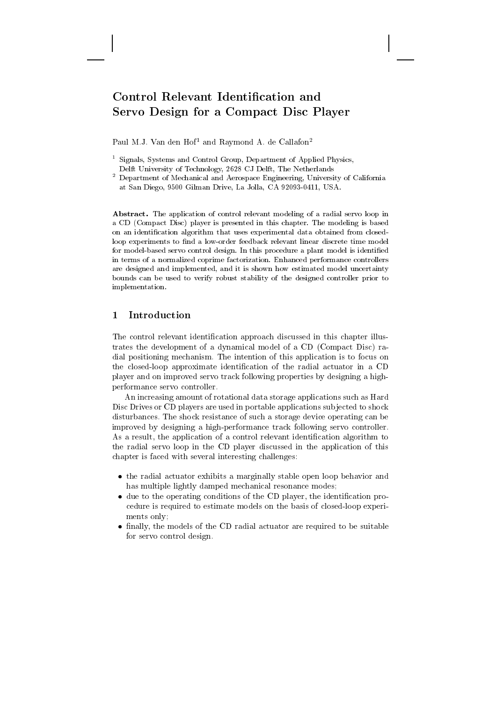# Control Relevant Identification and Servo Design for a Compact Disc Player

Paul M.J. Van den Hof<sup>1</sup> and Raymond A. de Callafon<sup>2</sup>

Signals, Systems and Control Group, Department of Applied Physics, Delft University of Technology, 2628 CJ Delft, The Netherlands

Abstract. The application of control relevant modeling of a radial servo loop in a CD (Compact Disc) player is presented in this chapter. The modeling is based on an identification algorithm that uses experimental data obtained from closedloop experiments to find a low-order feedback relevant linear discrete time model for model-based servo control design. In this procedure a plant model is identified in terms of a normalized coprime factorization. Enhanced performance controllers are designed and implemented, and it is shown how estimated model uncertainty bounds can be used to verify robust stability of the designed controller prior to implementation.

#### Introduction 1

The control relevant identification approach discussed in this chapter illustrates the development of a dynamical model of a CD (Compact Disc) radial positioning mechanism. The intention of this application is to focus on the closed-loop approximate identification of the radial actuator in a CD player and on improved servo track following properties by designing a highperformance servo controller.

An increasing amount of rotational data storage applications such as Hard Disc Drives or CD players are used in portable applications subjected to shock disturbances. The shock resistance of such a storage device operating can be improved by designing a high-performance track following servo controller. As a result, the application of a control relevant identification algorithm to the radial servo loop in the CD player discussed in the application of this chapter is faced with several interesting challenges:

- the radial actuator exhibits a marginally stable open loop behavior and has multiple lightly damped mechanical resonance modes;
- due to the operating conditions of the CD player, the identification procedure is required to estimate models on the basis of closed-loop experiments only:
- finally, the models of the CD radial actuator are required to be suitable for servo control design.

<sup>&</sup>lt;sup>2</sup> Department of Mechanical and Aerospace Engineering, University of California at San Diego, 9500 Gilman Drive, La Jolla, CA 92093-0411, USA.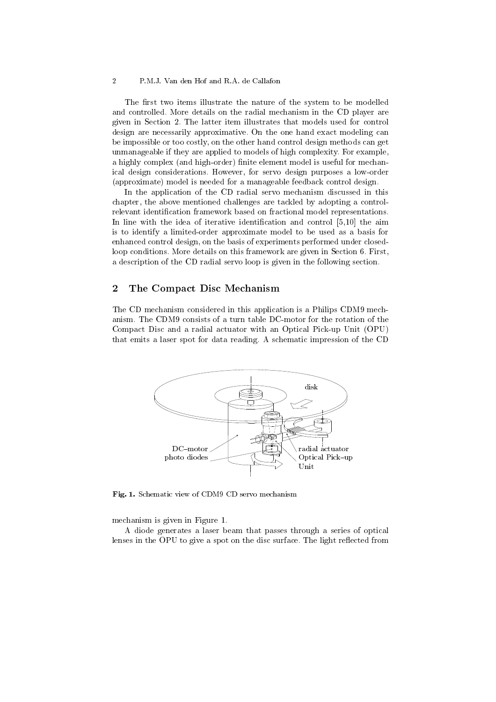#### $\overline{2}$ P.M.J. Van den Hof and R.A. de Callafon

The first two items illustrate the nature of the system to be modelled and controlled. More details on the radial mechanism in the CD player are given in Section 2. The latter item illustrates that models used for control design are necessarily approximative. On the one hand exact modeling can be impossible or too costly, on the other hand control design methods can get unmanageable if they are applied to models of high complexity. For example, a highly complex (and high-order) finite element model is useful for mechanical design considerations. However, for servo design purposes a low-order (approximate) model is needed for a manageable feedback control design.

In the application of the CD radial servo mechanism discussed in this chapter, the above mentioned challenges are tackled by adopting a controlrelevant identification framework based on fractional model representations. In line with the idea of iterative identification and control  $[5,10]$  the aim is to identify a limited-order approximate model to be used as a basis for enhanced control design, on the basis of experiments performed under closedloop conditions. More details on this framework are given in Section 6. First. a description of the CD radial servo loop is given in the following section.

#### $\overline{2}$ The Compact Disc Mechanism

The CD mechanism considered in this application is a Philips CDM9 mechanism. The CDM9 consists of a turn table DC-motor for the rotation of the Compact Disc and a radial actuator with an Optical Pick-up Unit (OPU) that emits a laser spot for data reading. A schematic impression of the CD



Fig. 1. Schematic view of CDM9 CD servo mechanism

mechanism is given in Figure 1.

A diode generates a laser beam that passes through a series of optical lenses in the OPU to give a spot on the disc surface. The light reflected from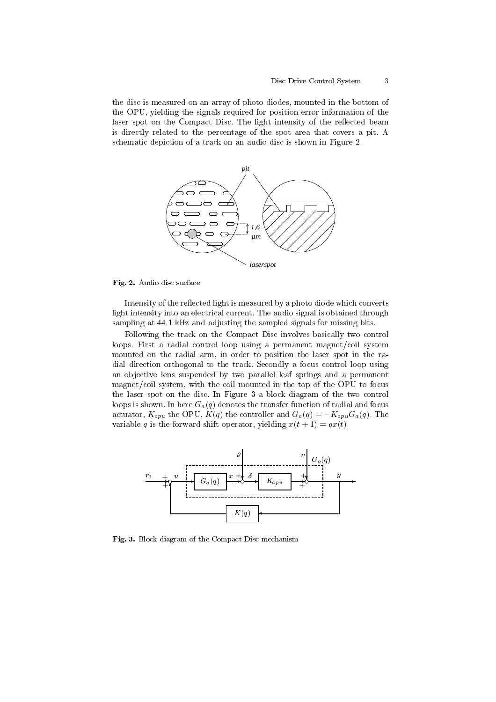the disc is measured on an array of photo diodes, mounted in the bottom of the OPU, yielding the signals required for position error information of the laser spot on the Compact Disc. The light intensity of the reflected beam is directly related to the percentage of the spot area that covers a pit. A schematic depiction of a track on an audio disc is shown in Figure 2.



Fig. 2. Audio disc surface

Intensity of the reflected light is measured by a photo diode which converts light intensity into an electrical current. The audio signal is obtained through sampling at 44.1 kHz and adjusting the sampled signals for missing bits.

Following the track on the Compact Disc involves basically two control loops. First a radial control loop using a permanent magnet/coil system mounted on the radial arm, in order to position the laser spot in the radial direction orthogonal to the track. Secondly a focus control loop using an objective lens suspended by two parallel leaf springs and a permanent magnet/coil system, with the coil mounted in the top of the OPU to focus the laser spot on the disc. In Figure 3 a block diagram of the two control loops is shown. In here  $G_a(q)$  denotes the transfer function of radial and focus actuator,  $K_{opu}$  the OPU,  $K(q)$  the controller and  $G_o(q) = -K_{opu}G_a(q)$ . The variable q is the forward shift operator, yielding  $x(t + 1) = qx(t)$ .



Fig. 3. Block diagram of the Compact Disc mechanism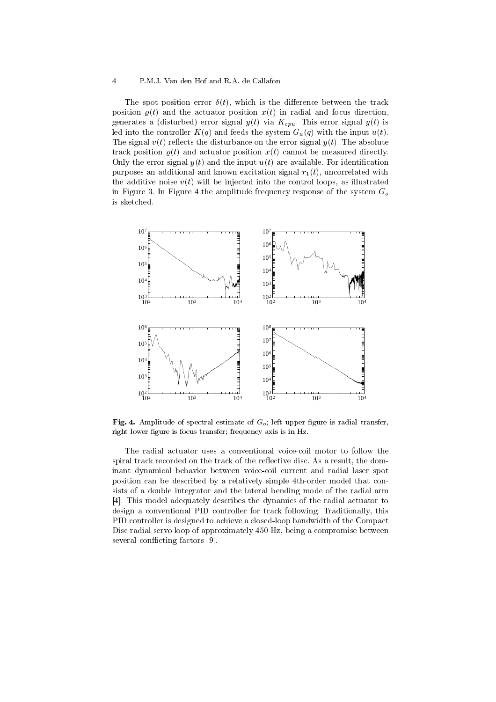$\overline{4}$ 

The spot position error  $\delta(t)$ , which is the difference between the track position  $\rho(t)$  and the actuator position  $x(t)$  in radial and focus direction, generates a (disturbed) error signal  $y(t)$  via  $K_{opu}$ . This error signal  $y(t)$  is led into the controller  $K(q)$  and feeds the system  $G_a(q)$  with the input  $u(t)$ . The signal  $v(t)$  reflects the disturbance on the error signal  $y(t)$ . The absolute track position  $\rho(t)$  and actuator position  $x(t)$  cannot be measured directly. Only the error signal  $y(t)$  and the input  $u(t)$  are available. For identification purposes an additional and known excitation signal  $r_1(t)$ , uncorrelated with the additive noise  $v(t)$  will be injected into the control loops, as illustrated in Figure 3. In Figure 4 the amplitude frequency response of the system  $G<sub>o</sub>$ is sketched.



**Fig. 4.** Amplitude of spectral estimate of  $G_o$ ; left upper figure is radial transfer, right lower figure is focus transfer; frequency axis is in Hz.

The radial actuator uses a conventional voice-coil motor to follow the spiral track recorded on the track of the reflective disc. As a result, the dominant dynamical behavior between voice-coil current and radial laser spot position can be described by a relatively simple 4th-order model that consists of a double integrator and the lateral bending mode of the radial arm [4]. This model adequately describes the dynamics of the radial actuator to design a conventional PID controller for track following. Traditionally, this PID controller is designed to achieve a closed-loop bandwidth of the Compact Disc radial servo loop of approximately 450 Hz, being a compromise between several conflicting factors [9].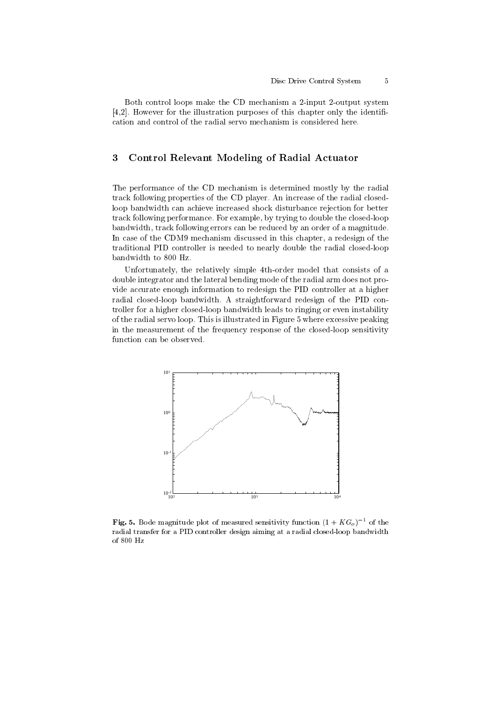$\overline{5}$ 

Both control loops make the CD mechanism a 2-input 2-output system  $[4,2]$ . However for the illustration purposes of this chapter only the identification and control of the radial servo mechanism is considered here.

#### 3 Control Relevant Modeling of Radial Actuator

The performance of the CD mechanism is determined mostly by the radial track following properties of the CD player. An increase of the radial closedloop bandwidth can achieve increased shock disturbance rejection for better track following performance. For example, by trying to double the closed-loop bandwidth, track following errors can be reduced by an order of a magnitude. In case of the CDM9 mechanism discussed in this chapter, a redesign of the traditional PID controller is needed to nearly double the radial closed-loop bandwidth to 800 Hz.

Unfortunately, the relatively simple 4th-order model that consists of a double integrator and the lateral bending mode of the radial arm does not provide accurate enough information to redesign the PID controller at a higher radial closed-loop bandwidth. A straightforward redesign of the PID controller for a higher closed-loop bandwidth leads to ringing or even instability of the radial servo loop. This is illustrated in Figure 5 where excessive peaking in the measurement of the frequency response of the closed-loop sensitivity function can be observed.



**Fig. 5.** Bode magnitude plot of measured sensitivity function  $(1 + KG<sub>o</sub>)^{-1}$  of the radial transfer for a PID controller design aiming at a radial closed-loop bandwidth of 800 Hz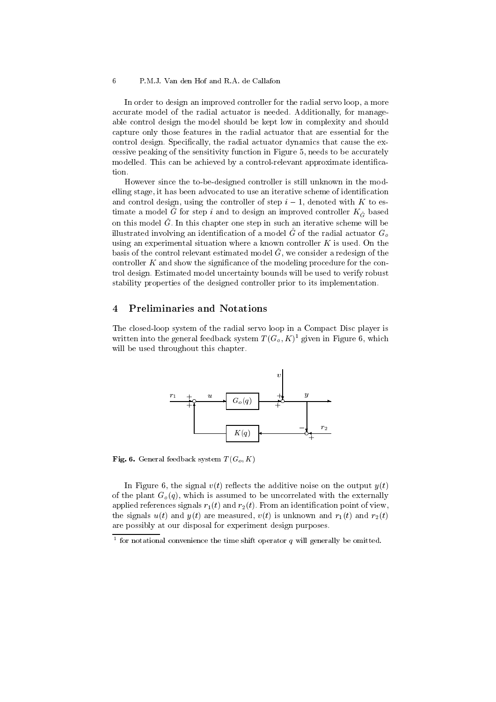6

In order to design an improved controller for the radial servo loop, a more accurate model of the radial actuator is needed. Additionally, for manageable control design the model should be kept low in complexity and should capture only those features in the radial actuator that are essential for the control design. Specifically, the radial actuator dynamics that cause the excessive peaking of the sensitivity function in Figure 5, needs to be accurately modelled. This can be achieved by a control-relevant approximate identification.

However since the to-be-designed controller is still unknown in the modelling stage, it has been advocated to use an iterative scheme of identification and control design, using the controller of step  $i-1$ , denoted with K to estimate a model  $\hat{G}$  for step i and to design an improved controller  $K_{\hat{G}}$  based on this model  $\hat{G}$ . In this chapter one step in such an iterative scheme will be illustrated involving an identification of a model  $\hat{G}$  of the radial actuator  $G_o$ using an experimental situation where a known controller  $K$  is used. On the basis of the control relevant estimated model  $\hat{G}$ , we consider a redesign of the controller  $K$  and show the significance of the modeling procedure for the control design. Estimated model uncertainty bounds will be used to verify robust stability properties of the designed controller prior to its implementation.

#### 4 **Preliminaries and Notations**

The closed-loop system of the radial servo loop in a Compact Disc player is written into the general feedback system  $T(G_o, K)^1$  given in Figure 6, which will be used throughout this chapter.



Fig. 6. General feedback system  $T(G_o, K)$ 

In Figure 6, the signal  $v(t)$  reflects the additive noise on the output  $y(t)$ of the plant  $G_o(q)$ , which is assumed to be uncorrelated with the externally applied references signals  $r_1(t)$  and  $r_2(t)$ . From an identification point of view, the signals  $u(t)$  and  $y(t)$  are measured,  $v(t)$  is unknown and  $r_1(t)$  and  $r_2(t)$ are possibly at our disposal for experiment design purposes.

<sup>&</sup>lt;sup>1</sup> for notational convenience the time shift operator  $q$  will generally be omitted.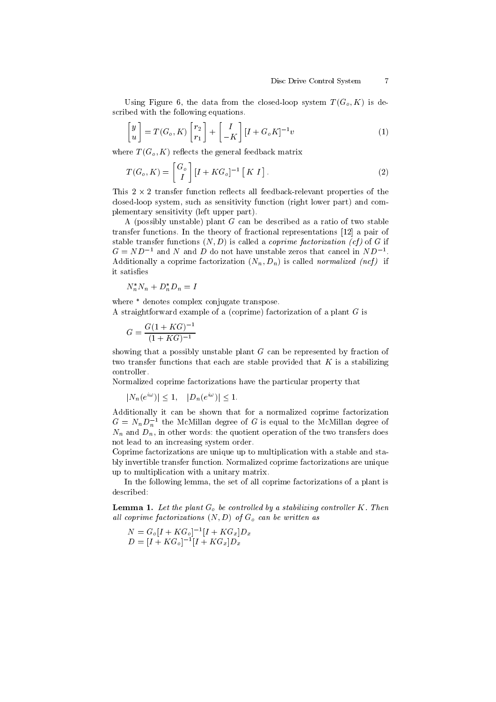Using Figure 6, the data from the closed-loop system  $T(G_o, K)$  is described with the following equations.

$$
\begin{bmatrix} y \\ u \end{bmatrix} = T(G_o, K) \begin{bmatrix} r_2 \\ r_1 \end{bmatrix} + \begin{bmatrix} I \\ -K \end{bmatrix} [I + G_o K]^{-1} v \tag{1}
$$

where  $T(G_o, K)$  reflects the general feedback matrix

$$
T(G_o, K) = \begin{bmatrix} G_o \\ I \end{bmatrix} [I + KG_o]^{-1} [K I]. \tag{2}
$$

This  $2 \times 2$  transfer function reflects all feedback-relevant properties of the closed-loop system, such as sensitivity function (right lower part) and complementary sensitivity (left upper part).

A (possibly unstable) plant  $G$  can be described as a ratio of two stable transfer functions. In the theory of fractional representations [12] a pair of stable transfer functions  $(N, D)$  is called a *coprime factorization* (*cf*) of G if  $G = ND^{-1}$  and N and D do not have unstable zeros that cancel in  $ND^{-1}$ . Additionally a coprime factorization  $(N_n, D_n)$  is called *normalized* (ncf) if it satisfies

$$
N_n^* N_n + D_n^* D_n = I
$$

where \* denotes complex conjugate transpose.

A straightforward example of a (coprime) factorization of a plant  $G$  is

$$
G = \frac{G(1+KG)^{-1}}{(1+KG)^{-1}}
$$

showing that a possibly unstable plant  $G$  can be represented by fraction of two transfer functions that each are stable provided that  $K$  is a stabilizing controller

Normalized coprime factorizations have the particular property that

$$
|N_n(e^{i\omega})| \le 1, \quad |D_n(e^{i\omega})| \le 1.
$$

Additionally it can be shown that for a normalized coprime factorization  $G = N_n D_n^{-1}$  the McMillan degree of G is equal to the McMillan degree of  $N_n$  and  $D_n$ , in other words: the quotient operation of the two transfers does not lead to an increasing system order.

Coprime factorizations are unique up to multiplication with a stable and stably invertible transfer function. Normalized coprime factorizations are unique up to multiplication with a unitary matrix.

In the following lemma, the set of all coprime factorizations of a plant is described:

**Lemma 1.** Let the plant  $G<sub>o</sub>$  be controlled by a stabilizing controller K. Then all coprime factorizations  $(N, D)$  of  $G_o$  can be written as

$$
N = G_o[I + KG_o]^{-1}[I + KG_x]D_x
$$
  

$$
D = [I + KG_o]^{-1}[I + KG_x]D_x
$$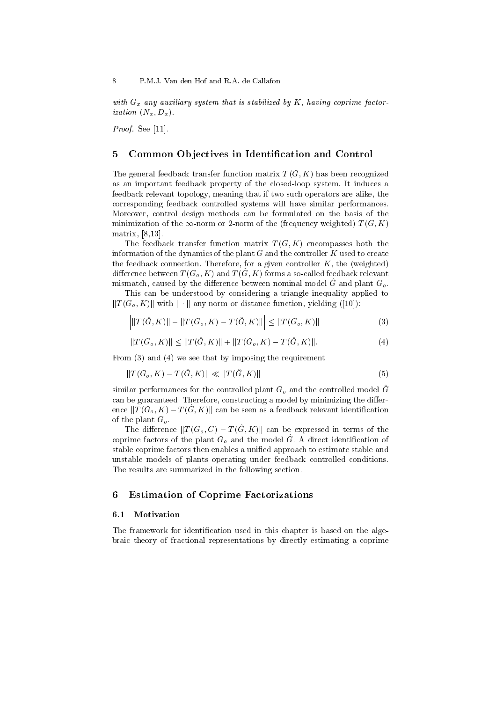with  $G_x$  any auxiliary system that is stabilized by K, having coprime factor*ization*  $(N_x, D_x)$ .

Proof. See [11].

#### 5 Common Objectives in Identification and Control

The general feedback transfer function matrix  $T(G, K)$  has been recognized as an important feedback property of the closed-loop system. It induces a feedback relevant topology, meaning that if two such operators are alike, the corresponding feedback controlled systems will have similar performances. Moreover, control design methods can be formulated on the basis of the minimization of the  $\infty$ -norm or 2-norm of the (frequency weighted)  $T(G, K)$ matrix, [8,13].

The feedback transfer function matrix  $T(G, K)$  encompasses both the information of the dynamics of the plant  $G$  and the controller  $K$  used to create the feedback connection. Therefore, for a given controller  $K$ , the (weighted) difference between  $T(G_o, K)$  and  $T(\hat{G}, K)$  forms a so-called feedback relevant mismatch, caused by the difference between nominal model  $\hat{G}$  and plant  $G_o$ .

This can be understood by considering a triangle inequality applied to  $||T(G_o, K)||$  with  $||\cdot||$  any norm or distance function, yielding ([10]):

$$
\left| \|T(\hat{G}, K)\| - \|T(G_o, K) - T(\hat{G}, K)\| \right| \le \|T(G_o, K)\|
$$
\n(3)

$$
||T(G_o, K)|| \le ||T(\hat{G}, K)|| + ||T(G_o, K) - T(\hat{G}, K)||. \tag{4}
$$

From  $(3)$  and  $(4)$  we see that by imposing the requirement

$$
||T(G_o, K) - T(\hat{G}, K)|| \ll ||T(\hat{G}, K)|| \tag{5}
$$

similar performances for the controlled plant  $G<sub>o</sub>$  and the controlled model  $\hat{G}$ can be guaranteed. Therefore, constructing a model by minimizing the difference  $||T(G_o, K) - T(\tilde{G}, K)||$  can be seen as a feedback relevant identification of the plant  $G_o$ .

The difference  $||T(G_o, C) - T(\hat{G}, K)||$  can be expressed in terms of the coprime factors of the plant  $G<sub>o</sub>$  and the model G. A direct identification of stable coprime factors then enables a unified approach to estimate stable and unstable models of plants operating under feedback controlled conditions. The results are summarized in the following section.

#### **Estimation of Coprime Factorizations** 6

#### Motivation  $6.1$

The framework for identification used in this chapter is based on the algebraic theory of fractional representations by directly estimating a coprime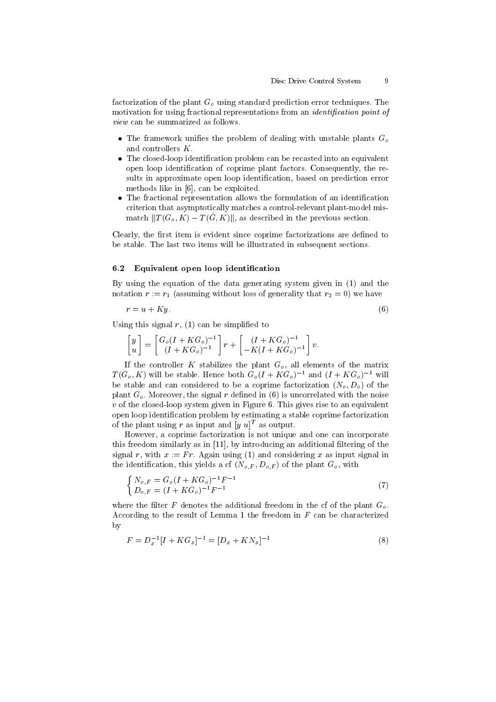factorization of the plant  $G<sub>o</sub>$  using standard prediction error techniques. The motivation for using fractional representations from an *identification point of*  $view$  can be summarized as follows.

- The framework unifies the problem of dealing with unstable plants  $G<sub>o</sub>$ and controllers  $K$ .
- The closed-loop identification problem can be recasted into an equivalent open loop identification of coprime plant factors. Consequently, the results in approximate open loop identification, based on prediction error methods like in [6], can be exploited.
- The fractional representation allows the formulation of an identification criterion that asymptotically matches a control-relevant plant-model mismatch  $||T(G_o, K) - T(G, K)||$ , as described in the previous section.

Clearly, the first item is evident since coprime factorizations are defined to be stable. The last two items will be illustrated in subsequent sections.

#### $6.2$ Equivalent open loop identification

By using the equation of the data generating system given in (1) and the notation  $r := r_1$  (assuming without loss of generality that  $r_2 = 0$ ) we have

$$
r = u + Ky.\tag{6}
$$

Using this signal  $r$ , (1) can be simplified to

$$
\begin{bmatrix} y \\ u \end{bmatrix} = \begin{bmatrix} G_o(I + KG_o)^{-1} \\ (I + KG_o)^{-1} \end{bmatrix} r + \begin{bmatrix} (I + KG_o)^{-1} \\ -K(I + KG_o)^{-1} \end{bmatrix} v.
$$

If the controller K stabilizes the plant  $G_o$ , all elements of the matrix  $T(G_o, K)$  will be stable. Hence both  $G_o(I + KG_o)^{-1}$  and  $(I + KG_o)^{-1}$  will be stable and can considered to be a coprime factorization  $(N_o, D_o)$  of the plant  $G<sub>o</sub>$ . Moreover, the signal r defined in (6) is uncorrelated with the noise  $v$  of the closed-loop system given in Figure 6. This gives rise to an equivalent open loop identification problem by estimating a stable coprime factorization of the plant using r as input and  $[y u]^T$  as output.

However, a coprime factorization is not unique and one can incorporate this freedom similarly as in [11], by introducing an additional filtering of the signal r, with  $x := Fr$ . Again using (1) and considering x as input signal in the identification, this yields a cf  $(N_{o,F}, D_{o,F})$  of the plant  $G_o$ , with

$$
\begin{cases}\nN_{o,F} = G_o (I + KG_o)^{-1} F^{-1} \\
D_{o,F} = (I + KG_o)^{-1} F^{-1}\n\end{cases}
$$
\n(7)

where the filter F denotes the additional freedom in the cf of the plant  $G_o$ . According to the result of Lemma 1 the freedom in  $F$  can be characterized  $\mathbf{b}$ 

$$
F = D_x^{-1} [I + KG_x]^{-1} = [D_x + KN_x]^{-1}
$$
\n(8)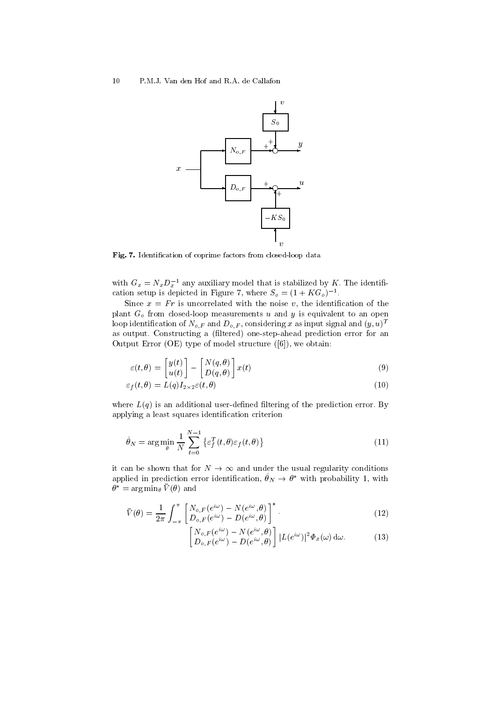

Fig. 7. Identification of coprime factors from closed-loop data

with  $G_x = N_x D_x^{-1}$  any auxiliary model that is stabilized by K. The identification setup is depicted in Figure 7, where  $S_o = (1 + KG_o)^{-1}$ .

Since  $x = Fr$  is uncorrelated with the noise v, the identification of the plant  $G_o$  from closed-loop measurements u and y is equivalent to an open loop identification of  $N_{o,F}$  and  $D_{o,F}$ , considering x as input signal and  $(y, u)^T$ as output. Constructing a (filtered) one-step-ahead prediction error for an Output Error (OE) type of model structure  $([6])$ , we obtain:

$$
\varepsilon(t,\theta) = \begin{bmatrix} y(t) \\ u(t) \end{bmatrix} - \begin{bmatrix} N(q,\theta) \\ D(q,\theta) \end{bmatrix} x(t)
$$
\n(9)

$$
\varepsilon_f(t,\theta) = L(q)I_{2 \times 2} \varepsilon(t,\theta) \tag{10}
$$

where  $L(q)$  is an additional user-defined filtering of the prediction error. By applying a least squares identification criterion

$$
\hat{\theta}_N = \arg\min_{\theta} \frac{1}{N} \sum_{t=0}^{N-1} \left\{ \varepsilon_f^T(t, \theta) \varepsilon_f(t, \theta) \right\} \tag{11}
$$

it can be shown that for  $N \to \infty$  and under the usual regularity conditions applied in prediction error identification,  $\hat{\theta}_N \to \theta^*$  with probability 1, with  $\theta^* = \arg\min_{\theta} \bar{V}(\theta)$  and

$$
\bar{V}(\theta) = \frac{1}{2\pi} \int_{-\pi}^{\pi} \left[ \frac{N_{o,F}(e^{i\omega}) - N(e^{i\omega}, \theta)}{D_{o,F}(e^{i\omega}) - D(e^{i\omega}, \theta)} \right]^*.
$$
\n(12)

$$
\begin{bmatrix}\nN_{o,F}(e^{i\omega}) - N(e^{i\omega}, \theta) \\
D_{o,F}(e^{i\omega}) - D(e^{i\omega}, \theta)\n\end{bmatrix} |L(e^{i\omega})|^2 \Phi_x(\omega) d\omega.
$$
\n(13)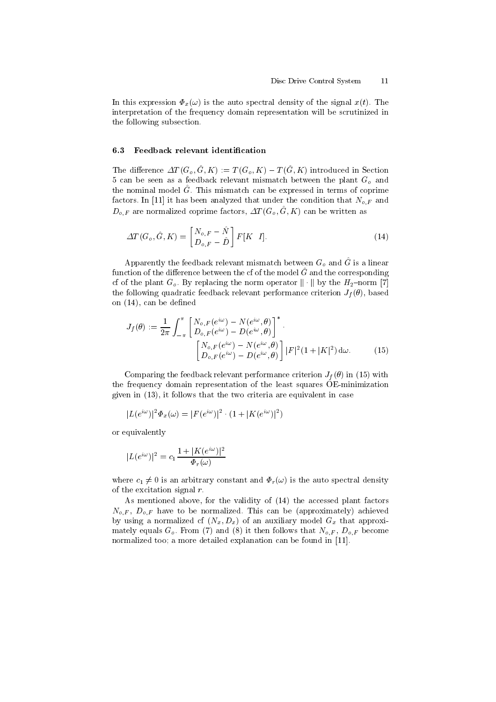In this expression  $\Phi_x(\omega)$  is the auto spectral density of the signal  $x(t)$ . The interpretation of the frequency domain representation will be scrutinized in the following subsection.

#### Feedback relevant identification  $6.3$

The difference  $\Delta T(G_o, \hat{G}, K) := T(G_o, K) - T(\hat{G}, K)$  introduced in Section 5 can be seen as a feedback relevant mismatch between the plant  $G<sub>o</sub>$  and the nominal model  $\hat{G}$ . This mismatch can be expressed in terms of coprime factors. In [11] it has been analyzed that under the condition that  $N_{o,F}$  and  $D_{o,F}$  are normalized coprime factors,  $\Delta T(G_o, \hat{G}, K)$  can be written as

$$
\Delta T(G_o, \hat{G}, K) = \begin{bmatrix} N_{o,F} - \hat{N} \\ D_{o,F} - \hat{D} \end{bmatrix} F[K \ I]. \tag{14}
$$

Apparently the feedback relevant mismatch between  $G_o$  and  $\hat{G}$  is a linear function of the difference between the cf of the model  $\hat{G}$  and the corresponding of of the plant  $G_o$ . By replacing the norm operator  $\|\cdot\|$  by the  $H_2$ -norm [7] the following quadratic feedback relevant performance criterion  $J_f(\theta)$ , based on  $(14)$ , can be defined

$$
J_f(\theta) := \frac{1}{2\pi} \int_{-\pi}^{\pi} \begin{bmatrix} N_{o,F}(e^{i\omega}) - N(e^{i\omega}, \theta) \\ D_{o,F}(e^{i\omega}) - D(e^{i\omega}, \theta) \end{bmatrix}^*.
$$

$$
\begin{bmatrix} N_{o,F}(e^{i\omega}) - N(e^{i\omega}, \theta) \\ D_{o,F}(e^{i\omega}) - D(e^{i\omega}, \theta) \end{bmatrix} |F|^2 (1 + |K|^2) d\omega.
$$
 (15)

Comparing the feedback relevant performance criterion  $J_f(\theta)$  in (15) with the frequency domain representation of the least squares OE-minimization given in  $(13)$ , it follows that the two criteria are equivalent in case

$$
|L(e^{i\omega})|^2 \Phi_x(\omega) = |F(e^{i\omega})|^2 \cdot (1 + |K(e^{i\omega})|^2)
$$

or equivalently

$$
|L(e^{i\omega})|^2 = c_1 \frac{1 + |K(e^{i\omega})|^2}{\Phi_r(\omega)}
$$

where  $c_1 \neq 0$  is an arbitrary constant and  $\Phi_r(\omega)$  is the auto spectral density of the excitation signal  $r$ .

As mentioned above, for the validity of (14) the accessed plant factors  $N_{o,F}$ ,  $D_{o,F}$  have to be normalized. This can be (approximately) achieved by using a normalized cf  $(N_x, D_x)$  of an auxiliary model  $G_x$  that approximately equals  $G_o$ . From (7) and (8) it then follows that  $N_{o,F}$ ,  $D_{o,F}$  become normalized too; a more detailed explanation can be found in [11].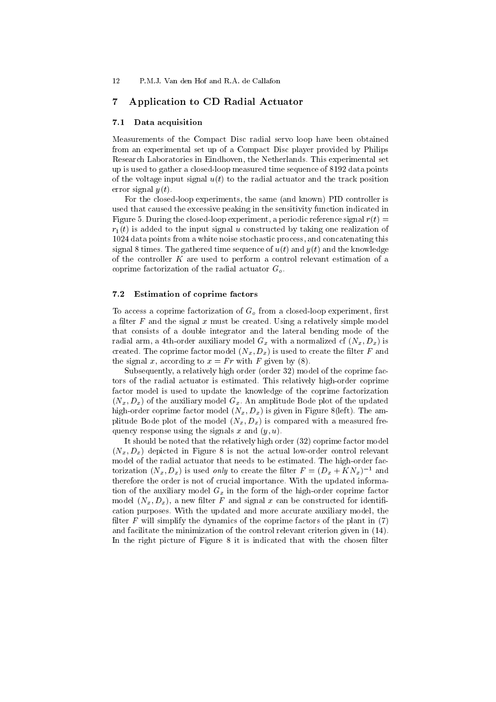#### $\overline{7}$ Application to CD Radial Actuator

#### Data acquisition  $7.1$

Measurements of the Compact Disc radial servo loop have been obtained from an experimental set up of a Compact Disc player provided by Philips Research Laboratories in Eindhoven, the Netherlands. This experimental set up is used to gather a closed-loop measured time sequence of 8192 data points of the voltage input signal  $u(t)$  to the radial actuator and the track position error signal  $y(t)$ .

For the closed-loop experiments, the same (and known) PID controller is used that caused the excessive peaking in the sensitivity function indicated in Figure 5. During the closed-loop experiment, a periodic reference signal  $r(t)$  =  $r_1(t)$  is added to the input signal u constructed by taking one realization of 1024 data points from a white noise stochastic process, and concatenating this signal 8 times. The gathered time sequence of  $u(t)$  and  $y(t)$  and the knowledge of the controller  $K$  are used to perform a control relevant estimation of a coprime factorization of the radial actuator  $G<sub>o</sub>$ .

#### $7.2$ **Estimation of coprime factors**

To access a coprime factorization of  $G<sub>o</sub>$  from a closed-loop experiment, first a filter  $F$  and the signal  $x$  must be created. Using a relatively simple model that consists of a double integrator and the lateral bending mode of the radial arm, a 4th-order auxiliary model  $G_x$  with a normalized cf  $(N_x, D_x)$  is created. The coprime factor model  $(N_x, D_x)$  is used to create the filter F and the signal x, according to  $x = Fr$  with F given by (8).

Subsequently, a relatively high order (order 32) model of the coprime factors of the radial actuator is estimated. This relatively high-order coprime factor model is used to update the knowledge of the coprime factorization  $(N_x, D_x)$  of the auxiliary model  $G_x$ . An amplitude Bode plot of the updated high-order coprime factor model  $(N_x, D_x)$  is given in Figure 8(left). The amplitude Bode plot of the model  $(N_x, D_x)$  is compared with a measured frequency response using the signals x and  $(y, u)$ .

It should be noted that the relatively high order (32) coprime factor model  $(N_x, D_x)$  depicted in Figure 8 is not the actual low-order control relevant model of the radial actuator that needs to be estimated. The high-order factorization  $(N_x, D_x)$  is used only to create the filter  $F = (D_x + KN_x)^{-1}$  and therefore the order is not of crucial importance. With the updated information of the auxiliary model  $G_x$  in the form of the high-order coprime factor model  $(N_x, D_x)$ , a new filter F and signal x can be constructed for identification purposes. With the updated and more accurate auxiliary model, the filter  $F$  will simplify the dynamics of the coprime factors of the plant in (7) and facilitate the minimization of the control relevant criterion given in (14). In the right picture of Figure 8 it is indicated that with the chosen filter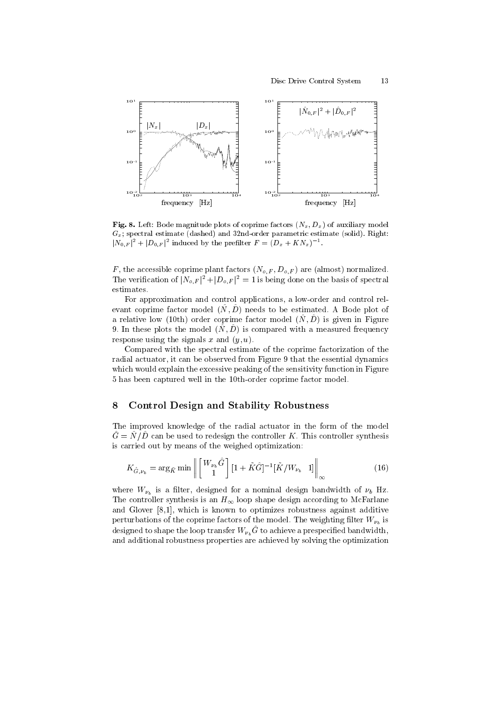

Fig. 8. Left: Bode magnitude plots of coprime factors  $(N_x, D_x)$  of auxiliary model  $G_x$ ; spectral estimate (dashed) and 32nd-order parametric estimate (solid). Right:  $|N_{0,F}|^2 + |D_{0,F}|^2$  induced by the prefilter  $F = (D_x + KN_x)^{-1}$ .

F, the accessible coprime plant factors  $(N_{o,F}, D_{o,F})$  are (almost) normalized. The verification of  $|N_{o,F}|^2 + |D_{o,F}|^2 = 1$  is being done on the basis of spectral estimates.

For approximation and control applications, a low-order and control relevant coprime factor model  $(\hat{N}, \hat{D})$  needs to be estimated. A Bode plot of a relative low (10th) order coprime factor model  $(\hat{N}, \hat{D})$  is given in Figure 9. In these plots the model  $(\hat{N}, \hat{D})$  is compared with a measured frequency response using the signals x and  $(u, u)$ .

Compared with the spectral estimate of the coprime factorization of the radial actuator, it can be observed from Figure 9 that the essential dynamics which would explain the excessive peaking of the sensitivity function in Figure 5 has been captured well in the 10th-order coprime factor model.

#### 8 **Control Design and Stability Robustness**

The improved knowledge of the radial actuator in the form of the model  $\hat{G} = \hat{N}/\hat{D}$  can be used to redesign the controller K. This controller synthesis is carried out by means of the weighed optimization:

$$
K_{\hat{G},\nu_b} = \arg_{\tilde{K}} \min \left\| \begin{bmatrix} W_{\nu_b} \hat{G} \\ 1 \end{bmatrix} [1 + \tilde{K} \hat{G}]^{-1} [\tilde{K}/W_{\nu_b} \quad 1] \right\|_{\infty} \tag{16}
$$

where  $W_{\nu_h}$  is a filter, designed for a nominal design bandwidth of  $\nu_b$  Hz. The controller synthesis is an  $H_{\infty}$  loop shape design according to McFarlane and Glover  $[8,1]$ , which is known to optimizes robustness against additive perturbations of the coprime factors of the model. The weighting filter  $W_{\nu}$  is designed to shape the loop transfer  $W_{\nu_b} \hat{G}$  to achieve a prespecified bandwidth, and additional robustness properties are achieved by solving the optimization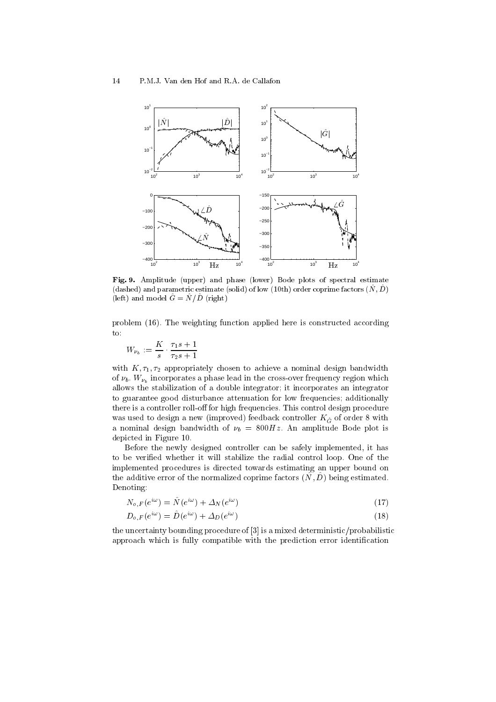

Fig. 9. Amplitude (upper) and phase (lower) Bode plots of spectral estimate (dashed) and parametric estimate (solid) of low (10th) order coprime factors  $(\hat{N}, \hat{D})$ (left) and model  $\hat{G} = \hat{N}/\hat{D}$  (right)

problem (16). The weighting function applied here is constructed according to:

$$
W_{\nu_b} := \frac{K}{s} \cdot \frac{\tau_1 s + 1}{\tau_2 s + 1}
$$

with  $K, \tau_1, \tau_2$  appropriately chosen to achieve a nominal design bandwidth of  $\nu_b$ .  $W_{\nu_b}$  incorporates a phase lead in the cross-over frequency region which allows the stabilization of a double integrator; it incorporates an integrator to guarantee good disturbance attenuation for low frequencies; additionally there is a controller roll-off for high frequencies. This control design procedure was used to design a new (improved) feedback controller  $K_{\hat{G}}$  of order 8 with a nominal design bandwidth of  $\nu_b = 800 Hz$ . An amplitude Bode plot is depicted in Figure 10.

Before the newly designed controller can be safely implemented, it has to be verified whether it will stabilize the radial control loop. One of the implemented procedures is directed towards estimating an upper bound on the additive error of the normalized coprime factors  $(\hat{N}, \hat{D})$  being estimated. Denoting:

$$
N_{o,F}(e^{i\omega}) = \hat{N}(e^{i\omega}) + \Delta_N(e^{i\omega})
$$
\n(17)

$$
D_{o,F}(e^{i\omega}) = \hat{D}(e^{i\omega}) + \Delta_D(e^{i\omega})
$$
\n(18)

the uncertainty bounding procedure of [3] is a mixed deterministic/probabilistic approach which is fully compatible with the prediction error identification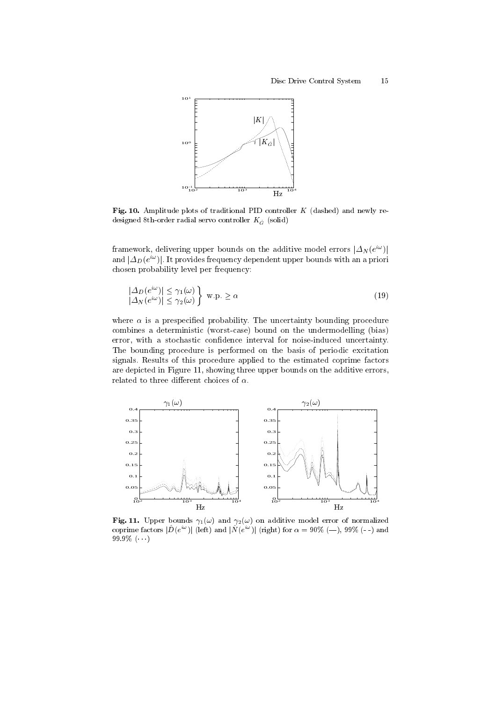

Fig. 10. Amplitude plots of traditional PID controller  $K$  (dashed) and newly redesigned 8th-order radial servo controller  $K_{\hat{G}}$  (solid)

framework, delivering upper bounds on the additive model errors  $|\Delta_N(e^{i\omega})|$ and  $|\Delta_D(e^{i\omega})|$ . It provides frequency dependent upper bounds with an a priori chosen probability level per frequency:

$$
\left|\frac{\Delta_D(e^{i\omega})| \le \gamma_1(\omega)}{|\Delta_N(e^{i\omega})| \le \gamma_2(\omega)}\right\} \text{ w.p.} \ge \alpha \tag{19}
$$

where  $\alpha$  is a prespecified probability. The uncertainty bounding procedure combines a deterministic (worst-case) bound on the undermodelling (bias) error, with a stochastic confidence interval for noise-induced uncertainty. The bounding procedure is performed on the basis of periodic excitation signals. Results of this procedure applied to the estimated coprime factors are depicted in Figure 11, showing three upper bounds on the additive errors, related to three different choices of  $\alpha$ .



Fig. 11. Upper bounds  $\gamma_1(\omega)$  and  $\gamma_2(\omega)$  on additive model error of normalized coprime factors  $|\hat{D}(e^{i\omega})|$  (left) and  $|\hat{N}(e^{i\omega})|$  (right) for  $\alpha = 90\%$  (--), 99% (--) and 99.9%  $(\cdots)$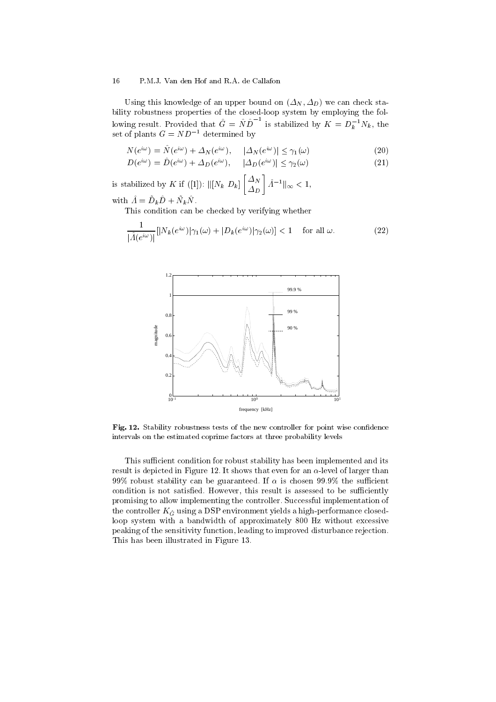Using this knowledge of an upper bound on  $(\Delta_N, \Delta_D)$  we can check stability robustness properties of the closed-loop system by employing the following result. Provided that  $\hat{G} = \hat{N}\hat{D}^{-1}$  is stabilized by  $K = D_k^{-1}N_k$ , the set of plants  $G = ND^{-1}$  determined by

$$
N(e^{i\omega}) = \hat{N}(e^{i\omega}) + \Delta_N(e^{i\omega}), \qquad |\Delta_N(e^{i\omega})| \le \gamma_1(\omega)
$$
  
\n
$$
D(e^{i\omega}) = \hat{D}(e^{i\omega}) + \Delta_D(e^{i\omega}), \qquad |\Delta_D(e^{i\omega})| \le \gamma_2(\omega)
$$
\n(21)

$$
P(e^{i\omega}) = D(e^{i\omega}) + \Delta_D(e^{i\omega}), \quad |\Delta_D(e^{i\omega})| \le \gamma_2(\omega) \tag{21}
$$

is stabilized by K if ([1]):  $\| [N_k D_k] \begin{bmatrix} \Delta_N \\ \Delta_D \end{bmatrix} \hat{\Lambda}^{-1} \|_{\infty} < 1$ ,

with  $\hat{A} = \tilde{D}_k \hat{D} + \tilde{N}_k \hat{N}$ 

This condition can be checked by verifying whether

$$
\frac{1}{|\hat{\Lambda}(e^{i\omega})|} [|N_k(e^{i\omega})|\gamma_1(\omega) + |D_k(e^{i\omega})|\gamma_2(\omega)] < 1 \quad \text{ for all } \omega.
$$
 (22)



Fig. 12. Stability robustness tests of the new controller for point wise confidence intervals on the estimated coprime factors at three probability levels

This sufficient condition for robust stability has been implemented and its result is depicted in Figure 12. It shows that even for an  $\alpha$ -level of larger than 99% robust stability can be guaranteed. If  $\alpha$  is chosen 99.9% the sufficient condition is not satisfied. However, this result is assessed to be sufficiently promising to allow implementing the controller. Successful implementation of the controller  $K_{\hat{G}}$  using a DSP environment yields a high-performance closedloop system with a bandwidth of approximately 800 Hz without excessive peaking of the sensitivity function, leading to improved disturbance rejection. This has been illustrated in Figure 13.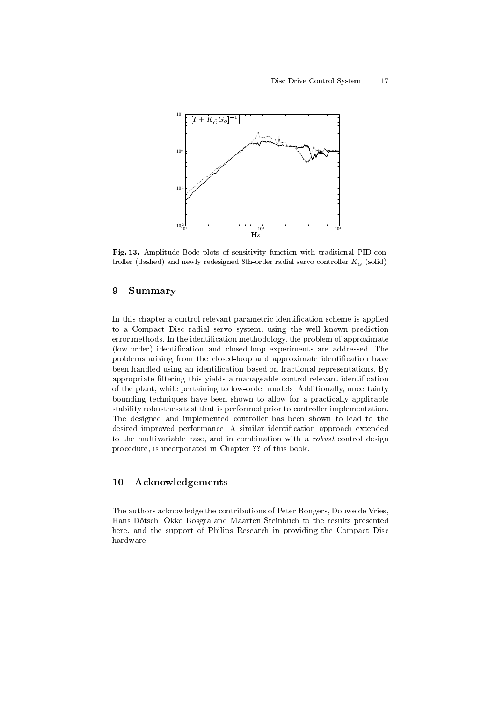

Fig. 13. Amplitude Bode plots of sensitivity function with traditional PID controller (dashed) and newly redesigned 8th-order radial servo controller  $K_{\hat{c}}$  (solid)

#### 9 Summary

In this chapter a control relevant parametric identification scheme is applied to a Compact Disc radial servo system, using the well known prediction error methods. In the identification methodology, the problem of approximate (low-order) identification and closed-loop experiments are addressed. The problems arising from the closed-loop and approximate identification have been handled using an identification based on fractional representations. By appropriate filtering this yields a manageable control-relevant identification of the plant, while pertaining to low-order models. Additionally, uncertainty bounding techniques have been shown to allow for a practically applicable stability robustness test that is performed prior to controller implementation. The designed and implemented controller has been shown to lead to the desired improved performance. A similar identification approach extended to the multivariable case, and in combination with a *robust* control design procedure, is incorporated in Chapter ?? of this book.

#### **Acknowledgements** 10

The authors acknowledge the contributions of Peter Bongers, Douwe de Vries, Hans Dötsch, Okko Bosgra and Maarten Steinbuch to the results presented here, and the support of Philips Research in providing the Compact Disc hardware.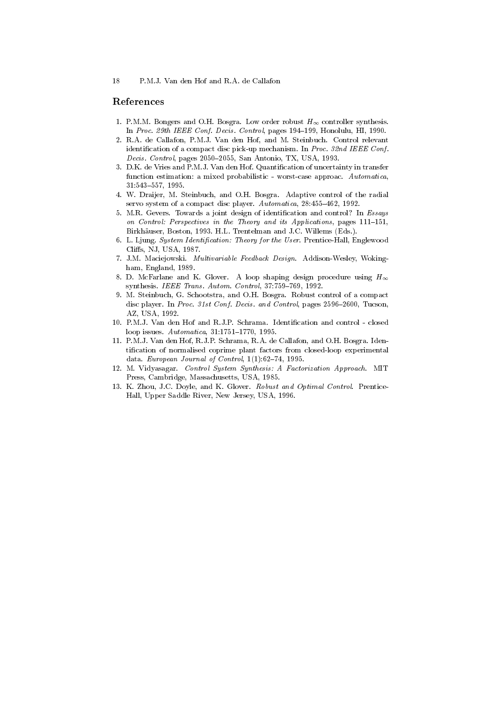## References

- 1. P.M.M. Bongers and O.H. Bosgra. Low order robust  $H_{\infty}$  controller synthesis. In Proc. 29th IEEE Conf. Decis. Control, pages 194-199, Honolulu, HI, 1990.
- 2. R.A. de Callafon, P.M.J. Van den Hof, and M. Steinbuch. Control relevant identification of a compact disc pick-up mechanism. In Proc. 32nd IEEE Conf. Decis. Control, pages 2050-2055, San Antonio, TX, USA, 1993.
- 3. D.K. de Vries and P.M.J. Van den Hof. Quantification of uncertainty in transfer function estimation: a mixed probabilistic - worst-case approac. Automatica,  $31:543-557, 1995.$
- 4. W. Draijer, M. Steinbuch, and O.H. Bosgra. Adaptive control of the radial servo system of a compact disc player. Automatica, 28:455-462, 1992.
- 5. M.R. Gevers. Towards a joint design of identification and control? In Essays on Control: Perspectives in the Theory and its Applications, pages 111-151, Birkhäuser, Boston, 1993. H.L. Trentelman and J.C. Willems (Eds.).
- 6. L. Ljung. System Identification: Theory for the User. Prentice Hall, Englewood Cliffs, NJ, USA, 1987.
- 7. J.M. Maciejowski. Multivariable Feedback Design. Addison-Wesley, Wokingham, England, 1989.
- 8. D. McFarlane and K. Glover. A loop shaping design procedure using  $H_{\infty}$ synthesis. IEEE Trans. Autom. Control, 37:759-769, 1992.
- 9. M. Steinbuch, G. Schootstra, and O.H. Bosgra. Robust control of a compact disc player. In Proc. 31st Conf. Decis. and Control, pages 2596-2600, Tucson, AZ, USA, 1992.
- 10. P.M.J. Van den Hof and R.J.P. Schrama. Identification and control closed loop issues. Automatica, 31:1751-1770, 1995.
- 11. P.M.J. Van den Hof, R.J.P. Schrama, R.A. de Callafon, and O.H. Bosgra. Identification of normalised coprime plant factors from closed-loop experimental data. European Journal of Control,  $1(1):62-74$ , 1995.
- 12. M. Vidyasagar. Control System Synthesis: A Factorization Approach. MIT Press, Cambridge, Massachusetts, USA, 1985.
- 13. K. Zhou, J.C. Doyle, and K. Glover. Robust and Optimal Control. Prentice-Hall, Upper Saddle River, New Jersey, USA, 1996.